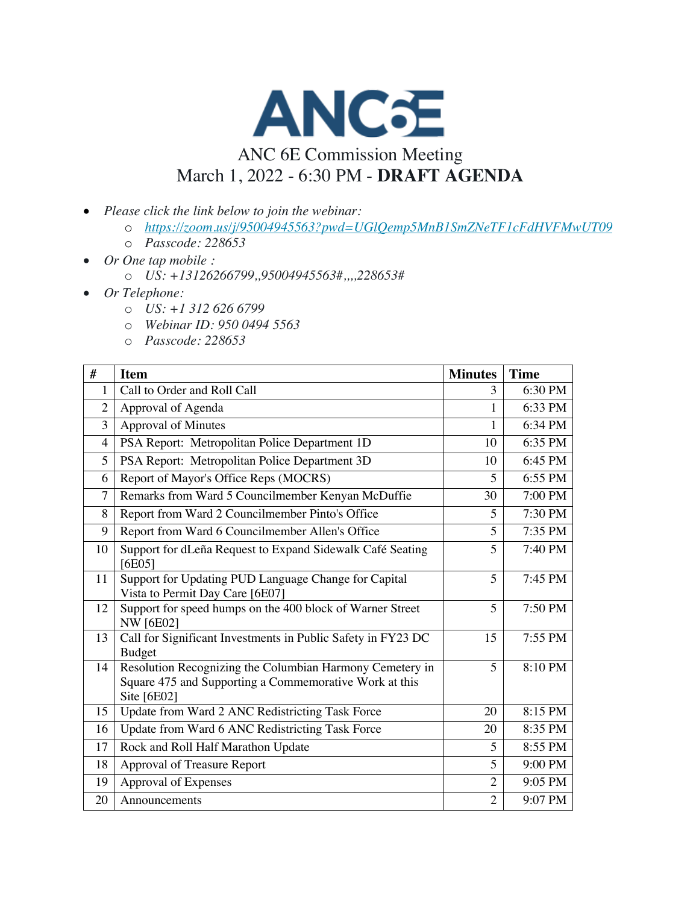

## ANC 6E Commission Meeting March 1, 2022 - 6:30 PM - **DRAFT AGENDA**

- *Please click the link below to join the webinar:*
	- o *https://zoom.us/j/95004945563?pwd=UGlQemp5MnB1SmZNeTF1cFdHVFMwUT09*
	- o *Passcode: 228653*
- *Or One tap mobile :* 
	- o *US: +13126266799,,95004945563#,,,,228653#*
- *Or Telephone:*
	- o *US: +1 312 626 6799*
	- o *Webinar ID: 950 0494 5563*
	- o *Passcode: 228653*

| #              | <b>Item</b>                                                                                                                       | <b>Minutes</b> | <b>Time</b> |
|----------------|-----------------------------------------------------------------------------------------------------------------------------------|----------------|-------------|
| 1              | Call to Order and Roll Call                                                                                                       | 3              | 6:30 PM     |
| $\overline{2}$ | Approval of Agenda                                                                                                                | 1              | 6:33 PM     |
| 3              | <b>Approval of Minutes</b>                                                                                                        | 1              | 6:34 PM     |
| $\overline{4}$ | PSA Report: Metropolitan Police Department 1D                                                                                     | 10             | 6:35 PM     |
| 5              | PSA Report: Metropolitan Police Department 3D                                                                                     | 10             | 6:45 PM     |
| 6              | Report of Mayor's Office Reps (MOCRS)                                                                                             | 5              | 6:55 PM     |
| 7              | Remarks from Ward 5 Councilmember Kenyan McDuffie                                                                                 | 30             | 7:00 PM     |
| 8              | Report from Ward 2 Councilmember Pinto's Office                                                                                   | 5              | 7:30 PM     |
| 9              | Report from Ward 6 Councilmember Allen's Office                                                                                   | 5              | 7:35 PM     |
| 10             | Support for dLeña Request to Expand Sidewalk Café Seating<br>[6E05]                                                               | 5              | 7:40 PM     |
| 11             | Support for Updating PUD Language Change for Capital<br>Vista to Permit Day Care [6E07]                                           | 5              | 7:45 PM     |
| 12             | Support for speed humps on the 400 block of Warner Street<br><b>NW</b> [6E02]                                                     | 5              | 7:50 PM     |
| 13             | Call for Significant Investments in Public Safety in FY23 DC<br>Budget                                                            | 15             | 7:55 PM     |
| 14             | Resolution Recognizing the Columbian Harmony Cemetery in<br>Square 475 and Supporting a Commemorative Work at this<br>Site [6E02] | 5              | 8:10 PM     |
| 15             | Update from Ward 2 ANC Redistricting Task Force                                                                                   | 20             | 8:15 PM     |
| 16             | Update from Ward 6 ANC Redistricting Task Force                                                                                   | 20             | 8:35 PM     |
| 17             | Rock and Roll Half Marathon Update                                                                                                | 5              | 8:55 PM     |
| 18             | Approval of Treasure Report                                                                                                       | 5              | 9:00 PM     |
| 19             | Approval of Expenses                                                                                                              | $\overline{2}$ | 9:05 PM     |
| 20             | Announcements                                                                                                                     | $\overline{2}$ | 9:07 PM     |